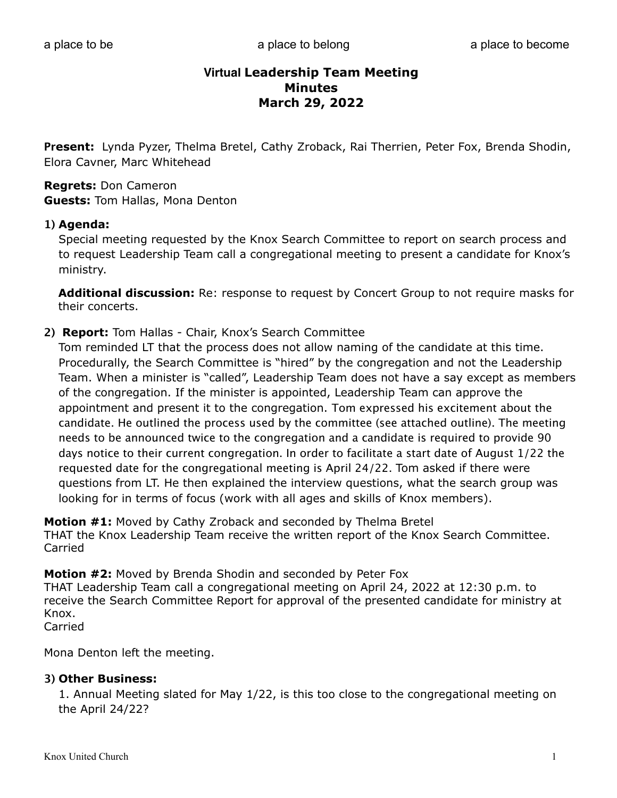# **Virtual Leadership Team Meeting Minutes March 29, 2022**

**Present:** Lynda Pyzer, Thelma Bretel, Cathy Zroback, Rai Therrien, Peter Fox, Brenda Shodin, Elora Cavner, Marc Whitehead

## **Regrets:** Don Cameron **Guests:** Tom Hallas, Mona Denton

#### **1) Agenda:**

Special meeting requested by the Knox Search Committee to report on search process and to request Leadership Team call a congregational meeting to present a candidate for Knox's ministry.

**Additional discussion:** Re: response to request by Concert Group to not require masks for their concerts.

#### **2) Report:** Tom Hallas - Chair, Knox's Search Committee

Tom reminded LT that the process does not allow naming of the candidate at this time. Procedurally, the Search Committee is "hired" by the congregation and not the Leadership Team. When a minister is "called", Leadership Team does not have a say except as members of the congregation. If the minister is appointed, Leadership Team can approve the appointment and present it to the congregation. Tom expressed his excitement about the candidate. He outlined the process used by the committee (see attached outline). The meeting needs to be announced twice to the congregation and a candidate is required to provide 90 days notice to their current congregation. In order to facilitate a start date of August 1/22 the requested date for the congregational meeting is April 24/22. Tom asked if there were questions from LT. He then explained the interview questions, what the search group was looking for in terms of focus (work with all ages and skills of Knox members).

**Motion #1:** Moved by Cathy Zroback and seconded by Thelma Bretel THAT the Knox Leadership Team receive the written report of the Knox Search Committee. Carried

**Motion #2:** Moved by Brenda Shodin and seconded by Peter Fox THAT Leadership Team call a congregational meeting on April 24, 2022 at 12:30 p.m. to

receive the Search Committee Report for approval of the presented candidate for ministry at Knox.

Carried

Mona Denton left the meeting.

#### **3) Other Business:**

1. Annual Meeting slated for May 1/22, is this too close to the congregational meeting on the April 24/22?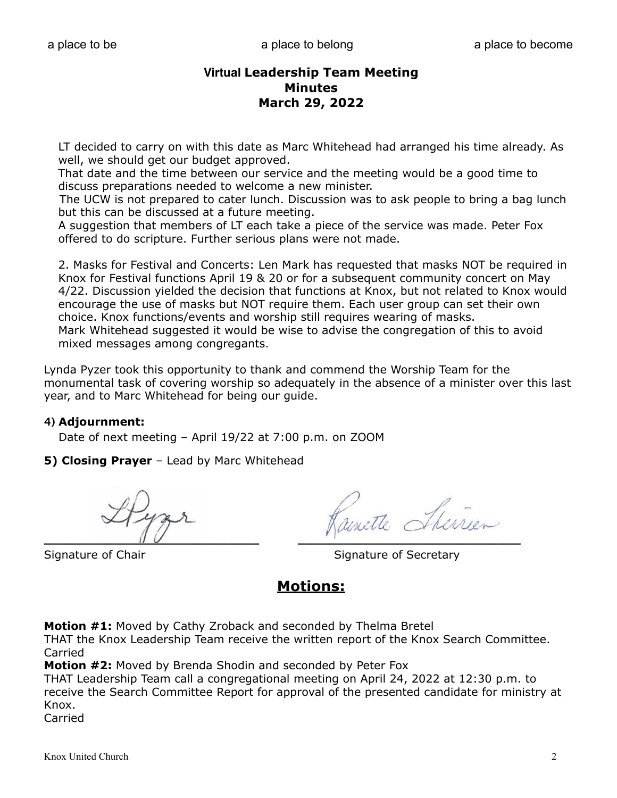# **Virtual Leadership Team Meeting Minutes March 29, 2022**

 LT decided to carry on with this date as Marc Whitehead had arranged his time already. As well, we should get our budget approved.

 That date and the time between our service and the meeting would be a good time to discuss preparations needed to welcome a new minister.

 The UCW is not prepared to cater lunch. Discussion was to ask people to bring a bag lunch but this can be discussed at a future meeting.

 A suggestion that members of LT each take a piece of the service was made. Peter Fox offered to do scripture. Further serious plans were not made.

 2. Masks for Festival and Concerts: Len Mark has requested that masks NOT be required in Knox for Festival functions April 19 & 20 or for a subsequent community concert on May 4/22. Discussion yielded the decision that functions at Knox, but not related to Knox would encourage the use of masks but NOT require them. Each user group can set their own choice. Knox functions/events and worship still requires wearing of masks. Mark Whitehead suggested it would be wise to advise the congregation of this to avoid mixed messages among congregants.

Lynda Pyzer took this opportunity to thank and commend the Worship Team for the monumental task of covering worship so adequately in the absence of a minister over this last year, and to Marc Whitehead for being our guide.

#### **4) Adjournment:**

Date of next meeting – April 19/22 at 7:00 p.m. on ZOOM

**5) Closing Prayer** – Lead by Marc Whitehead

 $\overline{\mathcal{U}}$ 

Signature of Chair Signature of Secretary

# **Motions:**

**Motion #1:** Moved by Cathy Zroback and seconded by Thelma Bretel

THAT the Knox Leadership Team receive the written report of the Knox Search Committee. Carried

**Motion #2:** Moved by Brenda Shodin and seconded by Peter Fox

THAT Leadership Team call a congregational meeting on April 24, 2022 at 12:30 p.m. to receive the Search Committee Report for approval of the presented candidate for ministry at Knox.

Carried